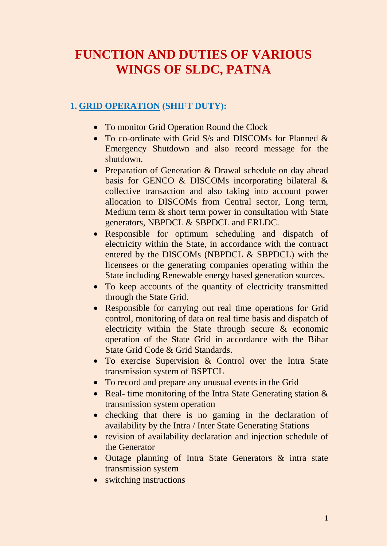# **FUNCTION AND DUTIES OF VARIOUS WINGS OF SLDC, PATNA**

## **1. GRID OPERATION (SHIFT DUTY):**

- To monitor Grid Operation Round the Clock
- To co-ordinate with Grid S/s and DISCOMs for Planned & Emergency Shutdown and also record message for the shutdown.
- Preparation of Generation & Drawal schedule on day ahead basis for GENCO & DISCOMs incorporating bilateral & collective transaction and also taking into account power allocation to DISCOMs from Central sector, Long term, Medium term  $\&$  short term power in consultation with State generators, NBPDCL & SBPDCL and ERLDC.
- Responsible for optimum scheduling and dispatch of electricity within the State, in accordance with the contract entered by the DISCOMs (NBPDCL & SBPDCL) with the licensees or the generating companies operating within the State including Renewable energy based generation sources.
- To keep accounts of the quantity of electricity transmitted through the State Grid.
- Responsible for carrying out real time operations for Grid control, monitoring of data on real time basis and dispatch of electricity within the State through secure & economic operation of the State Grid in accordance with the Bihar State Grid Code & Grid Standards.
- To exercise Supervision & Control over the Intra State transmission system of BSPTCL
- To record and prepare any unusual events in the Grid
- Real- time monitoring of the Intra State Generating station & transmission system operation
- checking that there is no gaming in the declaration of availability by the Intra / Inter State Generating Stations
- revision of availability declaration and injection schedule of the Generator
- Outage planning of Intra State Generators & intra state transmission system
- switching instructions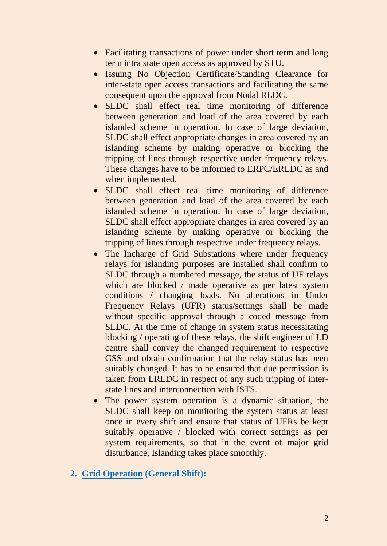- Facilitating transactions of power under short term and long term intra state open access as approved by STU.
- Issuing No Objection Certificate/Standing Clearance for inter-state open access transactions and facilitating the same consequent upon the approval from Nodal RLDC.
- SLDC shall effect real time monitoring of difference between generation and load of the area covered by each islanded scheme in operation. In case of large deviation, SLDC shall effect appropriate changes in area covered by an islanding scheme by making operative or blocking the tripping of lines through respective under frequency relays. These changes have to be informed to ERPC/ERLDC as and when implemented.
- SLDC shall effect real time monitoring of difference between generation and load of the area covered by each islanded scheme in operation. In case of large deviation, SLDC shall effect appropriate changes in area covered by an islanding scheme by making operative or blocking the tripping of lines through respective under frequency relays.
- The Incharge of Grid Substations where under frequency relays for islanding purposes are installed shall confirm to SLDC through a numbered message, the status of UF relays which are blocked / made operative as per latest system conditions / changing loads. No alterations in Under Frequency Relays (UFR) status/settings shall be made without specific approval through a coded message from SLDC. At the time of change in system status necessitating blocking / operating of these relays, the shift engineer of LD centre shall convey the changed requirement to respective GSS and obtain confirmation that the relay status has been suitably changed. It has to be ensured that due permission is taken from ERLDC in respect of any such tripping of interstate lines and interconnection with ISTS.
- The power system operation is a dynamic situation, the SLDC shall keep on monitoring the system status at least once in every shift and ensure that status of UFRs be kept suitably operative / blocked with correct settings as per system requirements, so that in the event of major grid disturbance, Islanding takes place smoothly.
- **2. Grid Operation (General Shift):**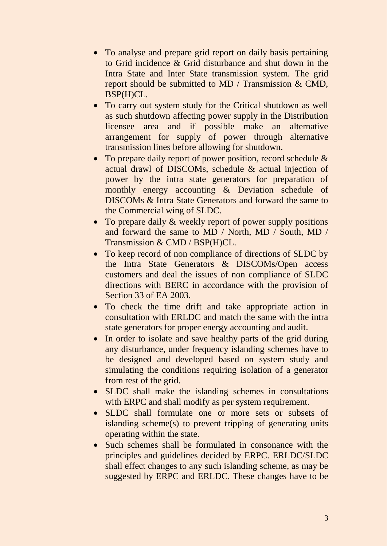- To analyse and prepare grid report on daily basis pertaining to Grid incidence & Grid disturbance and shut down in the Intra State and Inter State transmission system. The grid report should be submitted to MD / Transmission & CMD, BSP(H)CL.
- To carry out system study for the Critical shutdown as well as such shutdown affecting power supply in the Distribution licensee area and if possible make an alternative arrangement for supply of power through alternative transmission lines before allowing for shutdown.
- To prepare daily report of power position, record schedule & actual drawl of DISCOMs, schedule & actual injection of power by the intra state generators for preparation of monthly energy accounting & Deviation schedule of DISCOMs & Intra State Generators and forward the same to the Commercial wing of SLDC.
- To prepare daily & weekly report of power supply positions and forward the same to MD / North, MD / South, MD / Transmission & CMD / BSP(H)CL.
- To keep record of non compliance of directions of SLDC by the Intra State Generators & DISCOMs/Open access customers and deal the issues of non compliance of SLDC directions with BERC in accordance with the provision of Section 33 of EA 2003.
- To check the time drift and take appropriate action in consultation with ERLDC and match the same with the intra state generators for proper energy accounting and audit.
- In order to isolate and save healthy parts of the grid during any disturbance, under frequency islanding schemes have to be designed and developed based on system study and simulating the conditions requiring isolation of a generator from rest of the grid.
- SLDC shall make the islanding schemes in consultations with ERPC and shall modify as per system requirement.
- SLDC shall formulate one or more sets or subsets of islanding scheme(s) to prevent tripping of generating units operating within the state.
- Such schemes shall be formulated in consonance with the principles and guidelines decided by ERPC. ERLDC/SLDC shall effect changes to any such islanding scheme, as may be suggested by ERPC and ERLDC. These changes have to be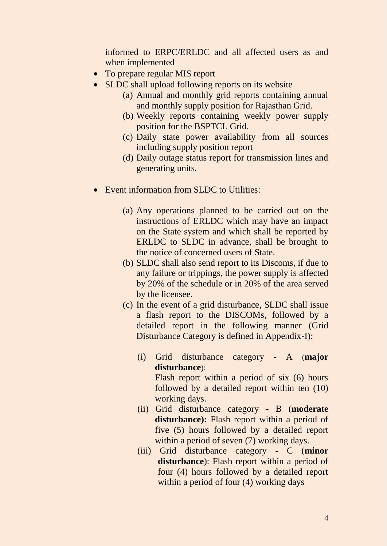informed to ERPC/ERLDC and all affected users as and when implemented

- To prepare regular MIS report
- SLDC shall upload following reports on its website
	- (a) Annual and monthly grid reports containing annual and monthly supply position for Rajasthan Grid.
	- (b) Weekly reports containing weekly power supply position for the BSPTCL Grid.
	- (c) Daily state power availability from all sources including supply position report
	- (d) Daily outage status report for transmission lines and generating units.
- Event information from SLDC to Utilities:
	- (a) Any operations planned to be carried out on the instructions of ERLDC which may have an impact on the State system and which shall be reported by ERLDC to SLDC in advance, shall be brought to the notice of concerned users of State.
	- (b) SLDC shall also send report to its Discoms, if due to any failure or trippings, the power supply is affected by 20% of the schedule or in 20% of the area served by the licensee.
	- (c) In the event of a grid disturbance, SLDC shall issue a flash report to the DISCOMs, followed by a detailed report in the following manner (Grid Disturbance Category is defined in Appendix-I):
		- (i) Grid disturbance category A (**major disturbance**): Flash report within a period of six (6) hours followed by a detailed report within ten (10) working days.
		- (ii) Grid disturbance category B (**moderate disturbance):** Flash report within a period of five (5) hours followed by a detailed report within a period of seven (7) working days.
		- (iii) Grid disturbance category C (**minor disturbance**): Flash report within a period of four (4) hours followed by a detailed report within a period of four (4) working days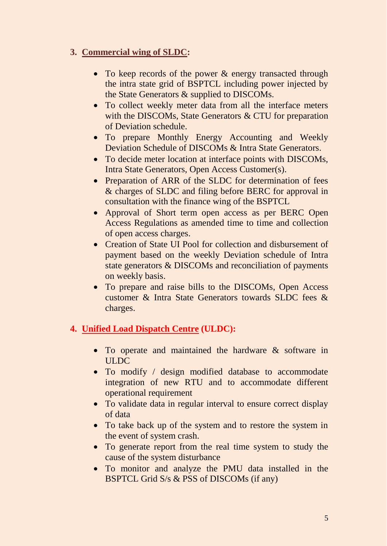### **3. Commercial wing of SLDC:**

- To keep records of the power & energy transacted through the intra state grid of BSPTCL including power injected by the State Generators & supplied to DISCOMs.
- To collect weekly meter data from all the interface meters with the DISCOMs, State Generators & CTU for preparation of Deviation schedule.
- To prepare Monthly Energy Accounting and Weekly Deviation Schedule of DISCOMs & Intra State Generators.
- To decide meter location at interface points with DISCOMs, Intra State Generators, Open Access Customer(s).
- Preparation of ARR of the SLDC for determination of fees & charges of SLDC and filing before BERC for approval in consultation with the finance wing of the BSPTCL
- Approval of Short term open access as per BERC Open Access Regulations as amended time to time and collection of open access charges.
- Creation of State UI Pool for collection and disbursement of payment based on the weekly Deviation schedule of Intra state generators & DISCOMs and reconciliation of payments on weekly basis.
- To prepare and raise bills to the DISCOMs, Open Access customer & Intra State Generators towards SLDC fees & charges.

# **4. Unified Load Dispatch Centre (ULDC):**

- To operate and maintained the hardware & software in ULDC
- To modify / design modified database to accommodate integration of new RTU and to accommodate different operational requirement
- To validate data in regular interval to ensure correct display of data
- To take back up of the system and to restore the system in the event of system crash.
- To generate report from the real time system to study the cause of the system disturbance
- To monitor and analyze the PMU data installed in the BSPTCL Grid S/s & PSS of DISCOMs (if any)